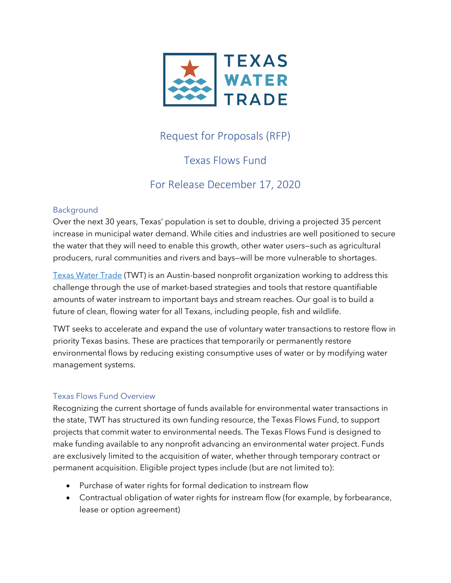

# Request for Proposals (RFP)

## Texas Flows Fund

# For Release December 17, 2020

#### Background

Over the next 30 years, Texas' population is set to double, driving a projected 35 percent increase in municipal water demand. While cities and industries are well positioned to secure the water that they will need to enable this growth, other water users—such as agricultural producers, rural communities and rivers and bays—will be more vulnerable to shortages.

Texas Water Trade (TWT) is an Austin-based nonprofit organization working to address this challenge through the use of market-based strategies and tools that restore quantifiable amounts of water instream to important bays and stream reaches. Our goal is to build a future of clean, flowing water for all Texans, including people, fish and wildlife.

TWT seeks to accelerate and expand the use of voluntary water transactions to restore flow in priority Texas basins. These are practices that temporarily or permanently restore environmental flows by reducing existing consumptive uses of water or by modifying water management systems.

### Texas Flows Fund Overview

Recognizing the current shortage of funds available for environmental water transactions in the state, TWT has structured its own funding resource, the Texas Flows Fund, to support projects that commit water to environmental needs. The Texas Flows Fund is designed to make funding available to any nonprofit advancing an environmental water project. Funds are exclusively limited to the acquisition of water, whether through temporary contract or permanent acquisition. Eligible project types include (but are not limited to):

- Purchase of water rights for formal dedication to instream flow
- Contractual obligation of water rights for instream flow (for example, by forbearance, lease or option agreement)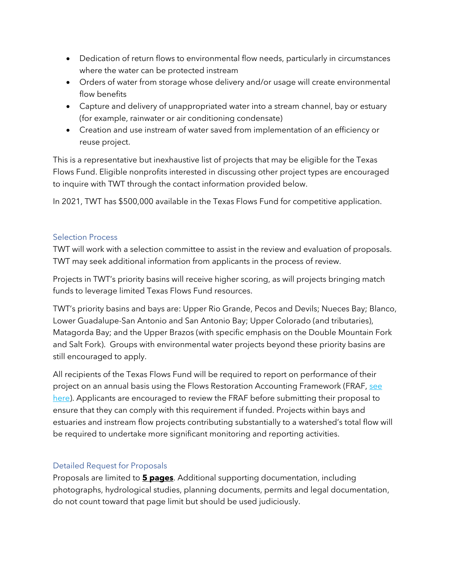- Dedication of return flows to environmental flow needs, particularly in circumstances where the water can be protected instream
- Orders of water from storage whose delivery and/or usage will create environmental flow benefits
- Capture and delivery of unappropriated water into a stream channel, bay or estuary (for example, rainwater or air conditioning condensate)
- Creation and use instream of water saved from implementation of an efficiency or reuse project.

This is a representative but inexhaustive list of projects that may be eligible for the Texas Flows Fund. Eligible nonprofits interested in discussing other project types are encouraged to inquire with TWT through the contact information provided below.

In 2021, TWT has \$500,000 available in the Texas Flows Fund for competitive application.

#### Selection Process

TWT will work with a selection committee to assist in the review and evaluation of proposals. TWT may seek additional information from applicants in the process of review.

Projects in TWT's priority basins will receive higher scoring, as will projects bringing match funds to leverage limited Texas Flows Fund resources.

TWT's priority basins and bays are: Upper Rio Grande, Pecos and Devils; Nueces Bay; Blanco, Lower Guadalupe-San Antonio and San Antonio Bay; Upper Colorado (and tributaries), Matagorda Bay; and the Upper Brazos (with specific emphasis on the Double Mountain Fork and Salt Fork). Groups with environmental water projects beyond these priority basins are still encouraged to apply.

All recipients of the Texas Flows Fund will be required to report on performance of their project on an annual basis using the Flows Restoration Accounting Framework (FRAF, [see](http://texaswatertrade.org/wp-content/uploads/2020/12/TWT_FlowFundRFP_FRAFreportingFINAL.pdf) [here\)](http://texaswatertrade.org/wp-content/uploads/2020/12/TWT_FlowFundRFP_FRAFreportingFINAL.pdf). Applicants are encouraged to review the FRAF before submitting their proposal to ensure that they can comply with this requirement if funded. Projects within bays and estuaries and instream flow projects contributing substantially to a watershed's total flow will be required to undertake more significant monitoring and reporting activities.

### Detailed Request for Proposals

Proposals are limited to **5 pages**. Additional supporting documentation, including photographs, hydrological studies, planning documents, permits and legal documentation, do not count toward that page limit but should be used judiciously.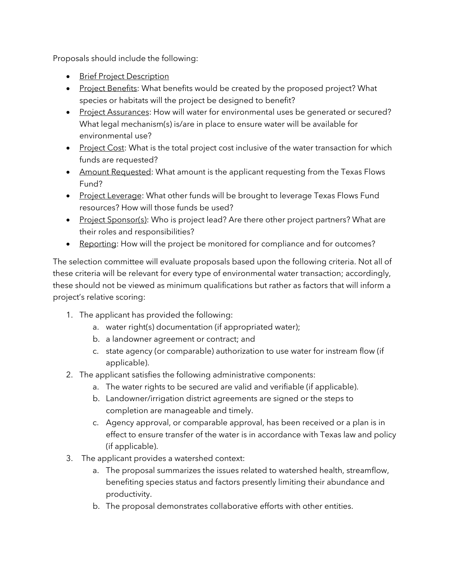Proposals should include the following:

- **•** Brief Project Description
- Project Benefits: What benefits would be created by the proposed project? What species or habitats will the project be designed to benefit?
- Project Assurances: How will water for environmental uses be generated or secured? What legal mechanism(s) is/are in place to ensure water will be available for environmental use?
- Project Cost: What is the total project cost inclusive of the water transaction for which funds are requested?
- Amount Requested: What amount is the applicant requesting from the Texas Flows Fund?
- Project Leverage: What other funds will be brought to leverage Texas Flows Fund resources? How will those funds be used?
- Project Sponsor(s): Who is project lead? Are there other project partners? What are their roles and responsibilities?
- Reporting: How will the project be monitored for compliance and for outcomes?

The selection committee will evaluate proposals based upon the following criteria. Not all of these criteria will be relevant for every type of environmental water transaction; accordingly, these should not be viewed as minimum qualifications but rather as factors that will inform a project's relative scoring:

- 1. The applicant has provided the following:
	- a. water right(s) documentation (if appropriated water);
	- b. a landowner agreement or contract; and
	- c. state agency (or comparable) authorization to use water for instream flow (if applicable).
- 2. The applicant satisfies the following administrative components:
	- a. The water rights to be secured are valid and verifiable (if applicable).
	- b. Landowner/irrigation district agreements are signed or the steps to completion are manageable and timely.
	- c. Agency approval, or comparable approval, has been received or a plan is in effect to ensure transfer of the water is in accordance with Texas law and policy (if applicable).
- 3. The applicant provides a watershed context:
	- a. The proposal summarizes the issues related to watershed health, streamflow, benefiting species status and factors presently limiting their abundance and productivity.
	- b. The proposal demonstrates collaborative efforts with other entities.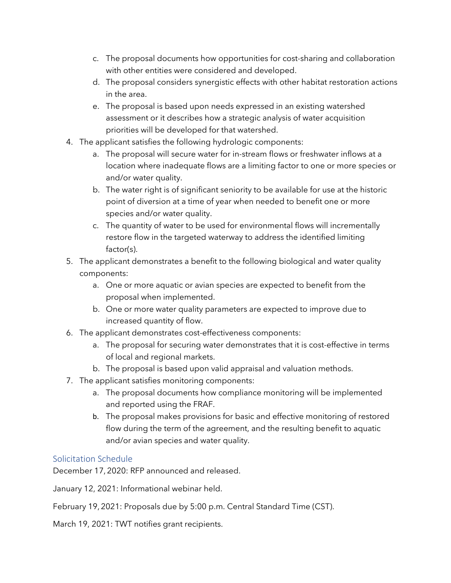- c. The proposal documents how opportunities for cost-sharing and collaboration with other entities were considered and developed.
- d. The proposal considers synergistic effects with other habitat restoration actions in the area.
- e. The proposal is based upon needs expressed in an existing watershed assessment or it describes how a strategic analysis of water acquisition priorities will be developed for that watershed.
- 4. The applicant satisfies the following hydrologic components:
	- a. The proposal will secure water for in-stream flows or freshwater inflows at a location where inadequate flows are a limiting factor to one or more species or and/or water quality.
	- b. The water right is of significant seniority to be available for use at the historic point of diversion at a time of year when needed to benefit one or more species and/or water quality.
	- c. The quantity of water to be used for environmental flows will incrementally restore flow in the targeted waterway to address the identified limiting factor(s).
- 5. The applicant demonstrates a benefit to the following biological and water quality components:
	- a. One or more aquatic or avian species are expected to benefit from the proposal when implemented.
	- b. One or more water quality parameters are expected to improve due to increased quantity of flow.
- 6. The applicant demonstrates cost-effectiveness components:
	- a. The proposal for securing water demonstrates that it is cost-effective in terms of local and regional markets.
	- b. The proposal is based upon valid appraisal and valuation methods.
- 7. The applicant satisfies monitoring components:
	- a. The proposal documents how compliance monitoring will be implemented and reported using the FRAF.
	- b. The proposal makes provisions for basic and effective monitoring of restored flow during the term of the agreement, and the resulting benefit to aquatic and/or avian species and water quality.

### Solicitation Schedule

December 17, 2020: RFP announced and released.

January 12, 2021: Informational webinar held.

February 19, 2021: Proposals due by 5:00 p.m. Central Standard Time (CST).

March 19, 2021: TWT notifies grant recipients.